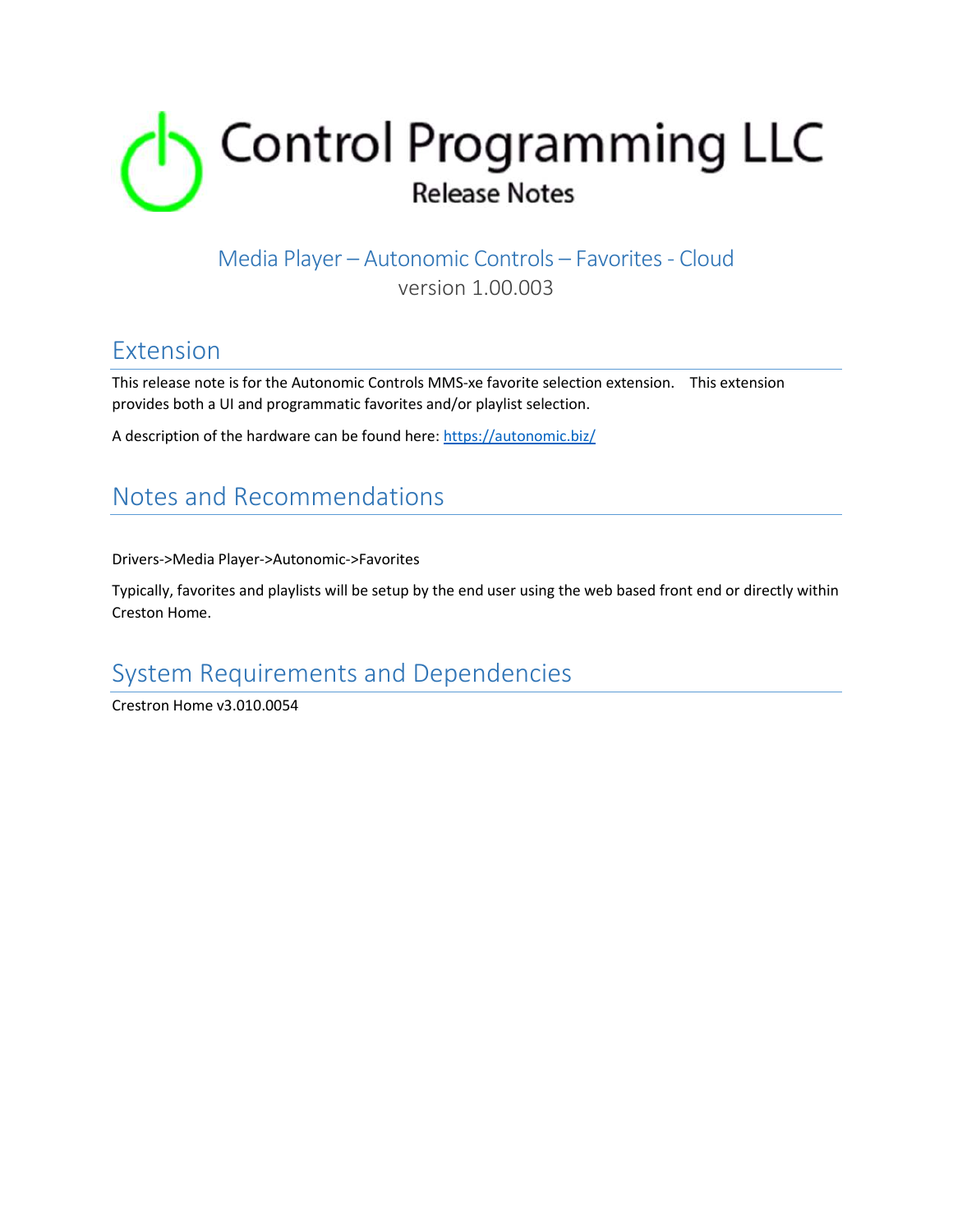

## Media Player – Autonomic Controls – Favorites - Cloud

version 1.00.003

### Extension

This release note is for the Autonomic Controls MMS-xe favorite selection extension. This extension provides both a UI and programmatic favorites and/or playlist selection.

A description of the hardware can be found here: https://autonomic.biz/

## Notes and Recommendations

Drivers->Media Player->Autonomic->Favorites

Typically, favorites and playlists will be setup by the end user using the web based front end or directly within Creston Home.

## System Requirements and Dependencies

Crestron Home v3.010.0054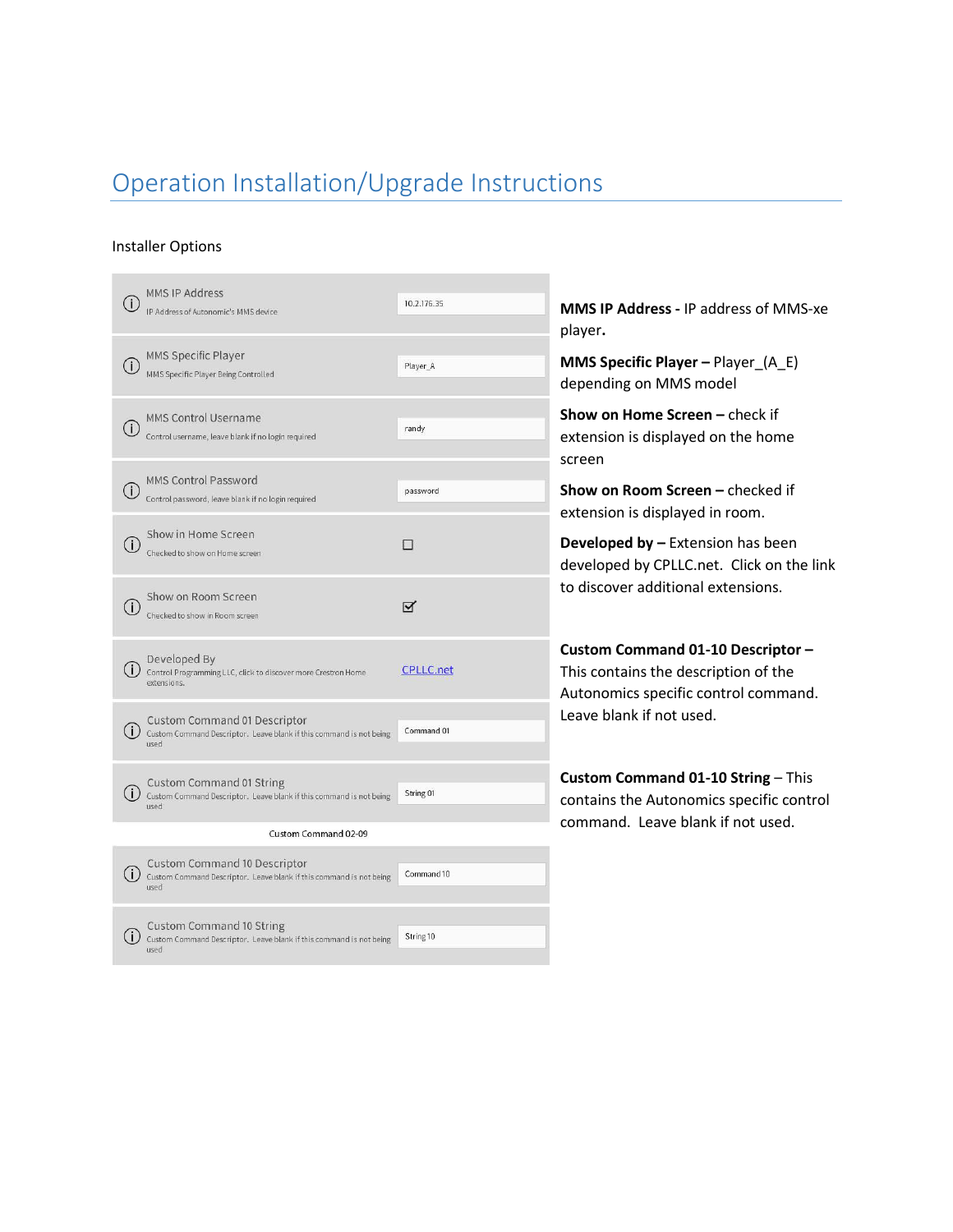# Operation Installation/Upgrade Instructions

#### Installer Options

| <b>MMS IP Address</b><br>IP Address of Autonomic's MMS device                                                      | 10.2.176.35      |  |  |  |  |  |
|--------------------------------------------------------------------------------------------------------------------|------------------|--|--|--|--|--|
| <b>MMS Specific Player</b>                                                                                         |                  |  |  |  |  |  |
| T<br>MMS Specific Player Being Controlled                                                                          | Player_A         |  |  |  |  |  |
| <b>MMS Control Username</b><br>Control username, leave blank if no login required                                  | randy            |  |  |  |  |  |
|                                                                                                                    |                  |  |  |  |  |  |
| <b>MMS Control Password</b><br>Control password, leave blank if no login required                                  | password         |  |  |  |  |  |
| Show in Home Screen<br>Checked to show on Home screen                                                              | $\Box$           |  |  |  |  |  |
| Show on Room Screen<br>Checked to show in Room screen                                                              | ⊠                |  |  |  |  |  |
| Developed By<br>Control Programming LLC, click to discover more Crestron Home<br>extensions.                       | <b>CPLLC.net</b> |  |  |  |  |  |
| <b>Custom Command 01 Descriptor</b><br>Custom Command Descriptor. Leave blank if this command is not being         | Command 01       |  |  |  |  |  |
| used                                                                                                               |                  |  |  |  |  |  |
| <b>Custom Command 01 String</b><br>Custom Command Descriptor. Leave blank if this command is not being<br>used     | String 01        |  |  |  |  |  |
| Custom Command 02-09                                                                                               |                  |  |  |  |  |  |
| <b>Custom Command 10 Descriptor</b><br>Custom Command Descriptor. Leave blank if this command is not being<br>used | Command 10       |  |  |  |  |  |
|                                                                                                                    |                  |  |  |  |  |  |
| Custom Command 10 String<br>Custom Command Descriptor. Leave blank if this command is not being<br>used            | String 10        |  |  |  |  |  |

**MMS IP Address -** IP address of MMS-xe player**.** 

**MMS Specific Player –** Player\_(A\_E) depending on MMS model

**Show on Home Screen –** check if extension is displayed on the home screen

**Show on Room Screen –** checked if extension is displayed in room.

**Developed by –** Extension has been developed by CPLLC.net. Click on the link to discover additional extensions.

**Custom Command 01-10 Descriptor –** This contains the description of the Autonomics specific control command. Leave blank if not used.

**Custom Command 01-10 String** – This contains the Autonomics specific control command. Leave blank if not used.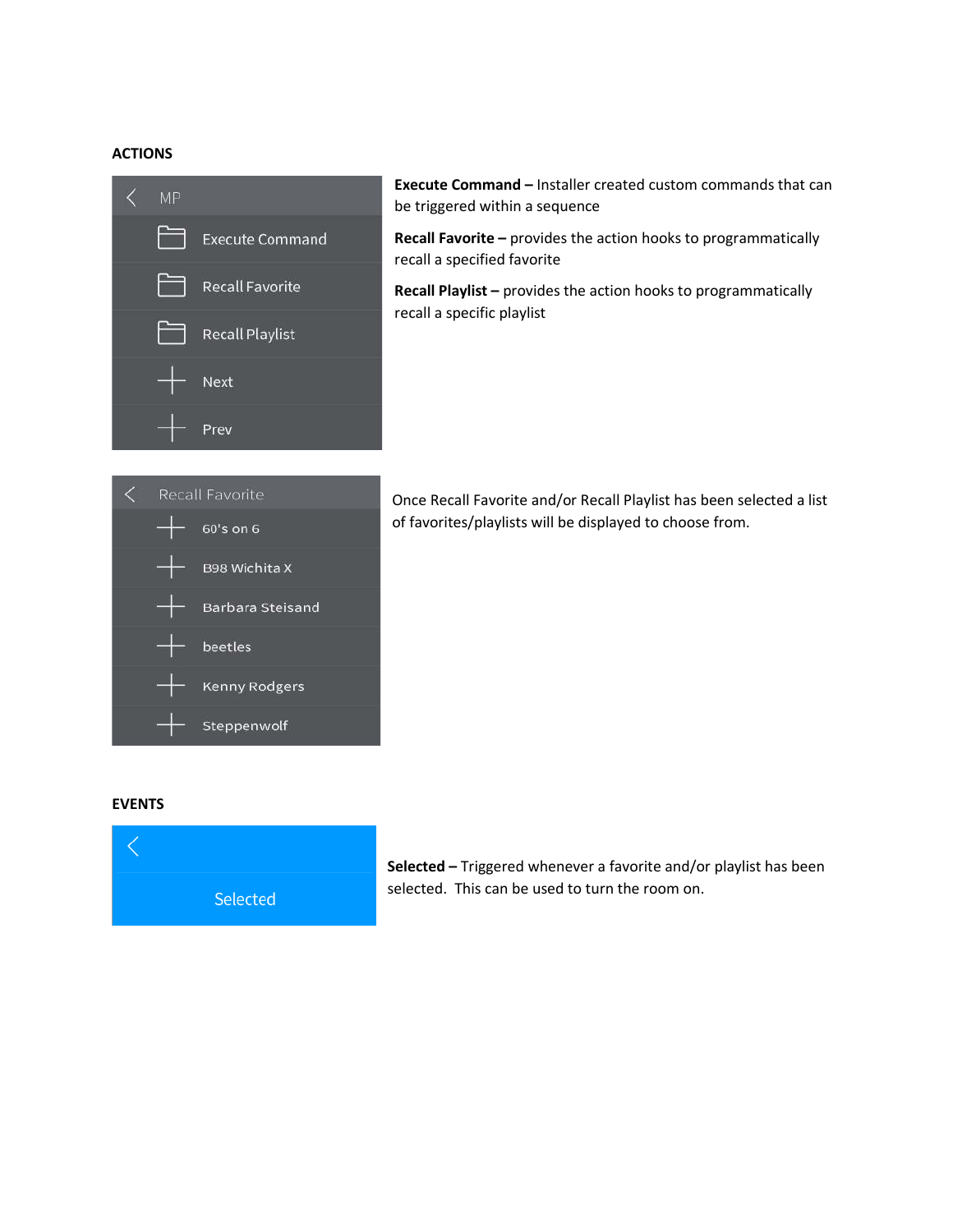#### **ACTIONS**



**Execute Command –** Installer created custom commands that can be triggered within a sequence

**Recall Favorite –** provides the action hooks to programmatically recall a specified favorite

**Recall Playlist –** provides the action hooks to programmatically recall a specific playlist



Once Recall Favorite and/or Recall Playlist has been selected a list of favorites/playlists will be displayed to choose from.

#### **EVENTS**



**Selected –** Triggered whenever a favorite and/or playlist has been selected. This can be used to turn the room on.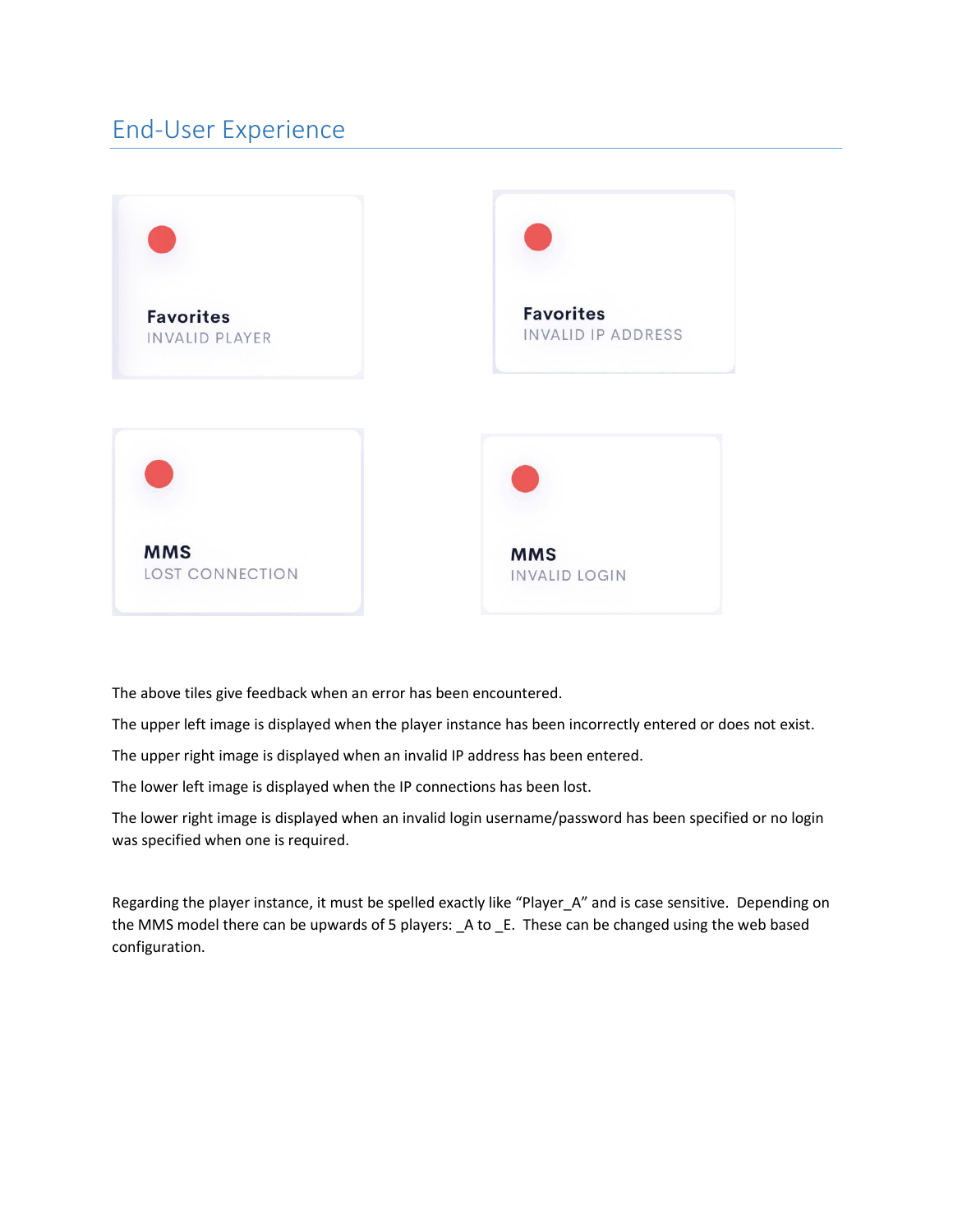## End-User Experience



The above tiles give feedback when an error has been encountered.

The upper left image is displayed when the player instance has been incorrectly entered or does not exist.

The upper right image is displayed when an invalid IP address has been entered.

The lower left image is displayed when the IP connections has been lost.

The lower right image is displayed when an invalid login username/password has been specified or no login was specified when one is required.

Regarding the player instance, it must be spelled exactly like "Player A" and is case sensitive. Depending on the MMS model there can be upwards of 5 players: A to E. These can be changed using the web based configuration.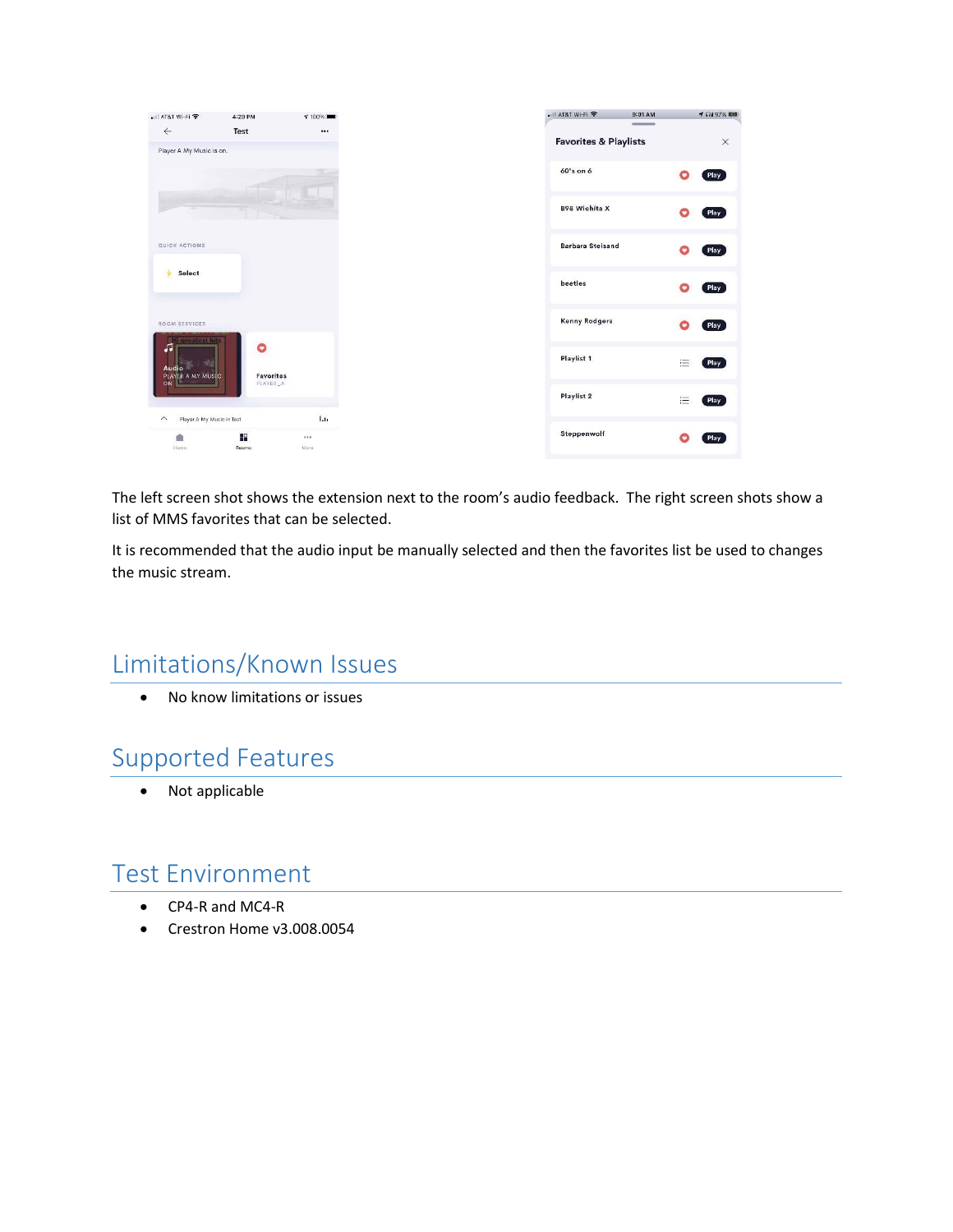| • Il AT&T Wi-Fi <b>全</b>                             | 4:29 PM               | $7100\%$ |
|------------------------------------------------------|-----------------------|----------|
| $\leftarrow$                                         | Test                  | $\cdots$ |
| Player A My Music is on.                             |                       |          |
|                                                      |                       |          |
|                                                      |                       |          |
|                                                      |                       |          |
|                                                      |                       |          |
| QUICK ACTIONS                                        |                       |          |
| Select                                               |                       |          |
|                                                      |                       |          |
|                                                      |                       |          |
| ROOM SERVICES                                        |                       |          |
| areatest hi<br>л                                     | O                     |          |
| Audio                                                |                       |          |
| <b>PLAYER A MY MUSIC</b><br>ON                       | Favorites<br>PLAYER_A |          |
|                                                      |                       |          |
| Player A My Music in Test<br>$\widehat{\phantom{a}}$ |                       | 1.1.     |
| <b>PR</b>                                            | æ                     | 0.00     |
| Home                                                 | Rooms                 | More     |

The left screen shot shows the extension next to the room's audio feedback. The right screen shots show a list of MMS favorites that can be selected.

It is recommended that the audio input be manually selected and then the favorites list be used to changes the music stream.

## Limitations/Known Issues

No know limitations or issues

## Supported Features

Not applicable

### Test Environment

- CP4-R and MC4-R
- Crestron Home v3.008.0054